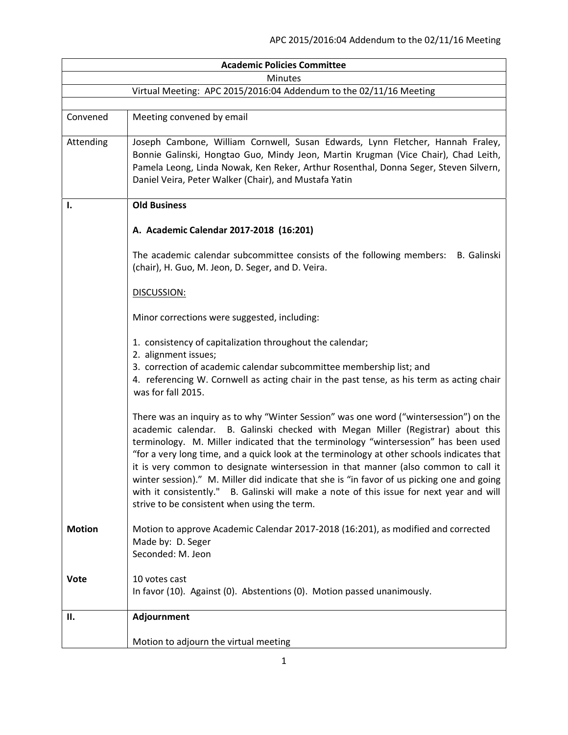| <b>Academic Policies Committee</b>                                 |                                                                                                                                                                                                                                                                                                                                                                                                                                                                                                                                                                                                                                                                                                |  |
|--------------------------------------------------------------------|------------------------------------------------------------------------------------------------------------------------------------------------------------------------------------------------------------------------------------------------------------------------------------------------------------------------------------------------------------------------------------------------------------------------------------------------------------------------------------------------------------------------------------------------------------------------------------------------------------------------------------------------------------------------------------------------|--|
| <b>Minutes</b>                                                     |                                                                                                                                                                                                                                                                                                                                                                                                                                                                                                                                                                                                                                                                                                |  |
| Virtual Meeting: APC 2015/2016:04 Addendum to the 02/11/16 Meeting |                                                                                                                                                                                                                                                                                                                                                                                                                                                                                                                                                                                                                                                                                                |  |
|                                                                    |                                                                                                                                                                                                                                                                                                                                                                                                                                                                                                                                                                                                                                                                                                |  |
| Convened                                                           | Meeting convened by email                                                                                                                                                                                                                                                                                                                                                                                                                                                                                                                                                                                                                                                                      |  |
| Attending                                                          | Joseph Cambone, William Cornwell, Susan Edwards, Lynn Fletcher, Hannah Fraley,<br>Bonnie Galinski, Hongtao Guo, Mindy Jeon, Martin Krugman (Vice Chair), Chad Leith,<br>Pamela Leong, Linda Nowak, Ken Reker, Arthur Rosenthal, Donna Seger, Steven Silvern,<br>Daniel Veira, Peter Walker (Chair), and Mustafa Yatin                                                                                                                                                                                                                                                                                                                                                                          |  |
| Ι.                                                                 | <b>Old Business</b>                                                                                                                                                                                                                                                                                                                                                                                                                                                                                                                                                                                                                                                                            |  |
|                                                                    | A. Academic Calendar 2017-2018 (16:201)                                                                                                                                                                                                                                                                                                                                                                                                                                                                                                                                                                                                                                                        |  |
|                                                                    | The academic calendar subcommittee consists of the following members:<br>B. Galinski<br>(chair), H. Guo, M. Jeon, D. Seger, and D. Veira.                                                                                                                                                                                                                                                                                                                                                                                                                                                                                                                                                      |  |
|                                                                    | DISCUSSION:                                                                                                                                                                                                                                                                                                                                                                                                                                                                                                                                                                                                                                                                                    |  |
|                                                                    | Minor corrections were suggested, including:                                                                                                                                                                                                                                                                                                                                                                                                                                                                                                                                                                                                                                                   |  |
|                                                                    | 1. consistency of capitalization throughout the calendar;<br>2. alignment issues;                                                                                                                                                                                                                                                                                                                                                                                                                                                                                                                                                                                                              |  |
|                                                                    | 3. correction of academic calendar subcommittee membership list; and<br>4. referencing W. Cornwell as acting chair in the past tense, as his term as acting chair<br>was for fall 2015.                                                                                                                                                                                                                                                                                                                                                                                                                                                                                                        |  |
|                                                                    | There was an inquiry as to why "Winter Session" was one word ("wintersession") on the<br>academic calendar. B. Galinski checked with Megan Miller (Registrar) about this<br>terminology. M. Miller indicated that the terminology "wintersession" has been used<br>"for a very long time, and a quick look at the terminology at other schools indicates that<br>it is very common to designate wintersession in that manner (also common to call it<br>winter session)." M. Miller did indicate that she is "in favor of us picking one and going<br>with it consistently." B. Galinski will make a note of this issue for next year and will<br>strive to be consistent when using the term. |  |
| <b>Motion</b>                                                      | Motion to approve Academic Calendar 2017-2018 (16:201), as modified and corrected<br>Made by: D. Seger<br>Seconded: M. Jeon                                                                                                                                                                                                                                                                                                                                                                                                                                                                                                                                                                    |  |
| <b>Vote</b>                                                        | 10 votes cast<br>In favor (10). Against (0). Abstentions (0). Motion passed unanimously.                                                                                                                                                                                                                                                                                                                                                                                                                                                                                                                                                                                                       |  |
| П.                                                                 | Adjournment                                                                                                                                                                                                                                                                                                                                                                                                                                                                                                                                                                                                                                                                                    |  |
|                                                                    | Motion to adjourn the virtual meeting                                                                                                                                                                                                                                                                                                                                                                                                                                                                                                                                                                                                                                                          |  |